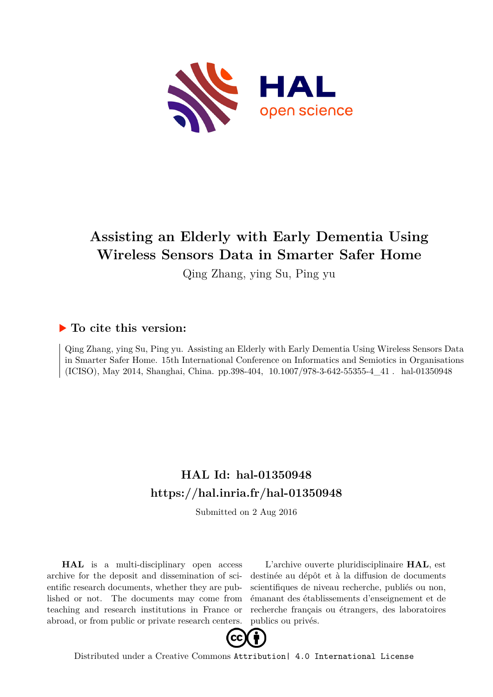

# **Assisting an Elderly with Early Dementia Using Wireless Sensors Data in Smarter Safer Home**

Qing Zhang, ying Su, Ping yu

# **To cite this version:**

Qing Zhang, ying Su, Ping yu. Assisting an Elderly with Early Dementia Using Wireless Sensors Data in Smarter Safer Home. 15th International Conference on Informatics and Semiotics in Organisations (ICISO), May 2014, Shanghai, China. pp.398-404, 10.1007/978-3-642-55355-4\_41. hal-01350948

# **HAL Id: hal-01350948 <https://hal.inria.fr/hal-01350948>**

Submitted on 2 Aug 2016

**HAL** is a multi-disciplinary open access archive for the deposit and dissemination of scientific research documents, whether they are published or not. The documents may come from teaching and research institutions in France or abroad, or from public or private research centers.

L'archive ouverte pluridisciplinaire **HAL**, est destinée au dépôt et à la diffusion de documents scientifiques de niveau recherche, publiés ou non, émanant des établissements d'enseignement et de recherche français ou étrangers, des laboratoires publics ou privés.



Distributed under a Creative Commons [Attribution| 4.0 International License](http://creativecommons.org/licenses/by/4.0/)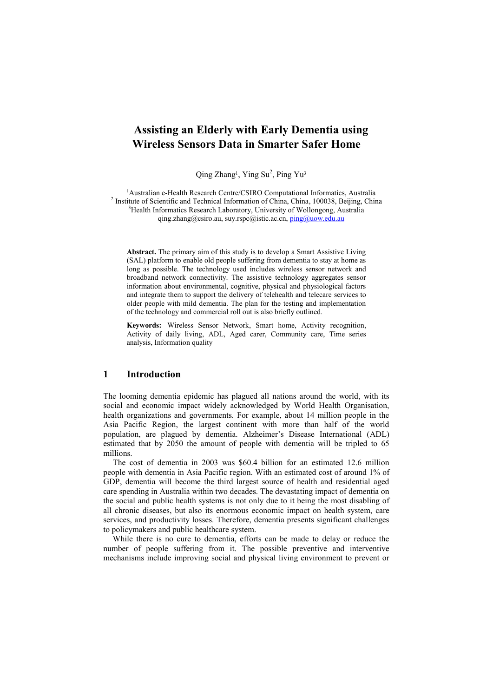# **Assisting an Elderly with Early Dementia using Wireless Sensors Data in Smarter Safer Home**

Qing Zhang<sup>1</sup>, Ying Su<sup>2</sup>, Ping Yu<sup>3</sup>

<sup>1</sup>Australian e-Health Research Centre/CSIRO Computational Informatics, Australia <sup>2</sup> Institute of Scientific and Technical Information of China, China, 100038, Beijing, China <sup>3</sup>Health Informatics Research Laboratory, University of Wollongong, Australia qing.zhang@csiro.au, suy.rspc@istic.ac.cn, [ping@uow.edu.au](mailto:ping@uow.edu.au)

**Abstract.** The primary aim of this study is to develop a Smart Assistive Living (SAL) platform to enable old people suffering from dementia to stay at home as long as possible. The technology used includes wireless sensor network and broadband network connectivity. The assistive technology aggregates sensor information about environmental, cognitive, physical and physiological factors and integrate them to support the delivery of telehealth and telecare services to older people with mild dementia. The plan for the testing and implementation of the technology and commercial roll out is also briefly outlined.

**Keywords:** Wireless Sensor Network, Smart home, Activity recognition, Activity of daily living, ADL, Aged carer, Community care, Time series analysis, Information quality

#### **1 Introduction**

The looming dementia epidemic has plagued all nations around the world, with its social and economic impact widely acknowledged by World Health Organisation, health organizations and governments. For example, about 14 million people in the Asia Pacific Region, the largest continent with more than half of the world population, are plagued by dementia. Alzheimer's Disease International (ADL) estimated that by 2050 the amount of people with dementia will be tripled to 65 millions.

The cost of dementia in 2003 was \$60.4 billion for an estimated 12.6 million people with dementia in Asia Pacific region. With an estimated cost of around 1% of GDP, dementia will become the third largest source of health and residential aged care spending in Australia within two decades. The devastating impact of dementia on the social and public health systems is not only due to it being the most disabling of all chronic diseases, but also its enormous economic impact on health system, care services, and productivity losses. Therefore, dementia presents significant challenges to policymakers and public healthcare system.

While there is no cure to dementia, efforts can be made to delay or reduce the number of people suffering from it. The possible preventive and interventive mechanisms include improving social and physical living environment to prevent or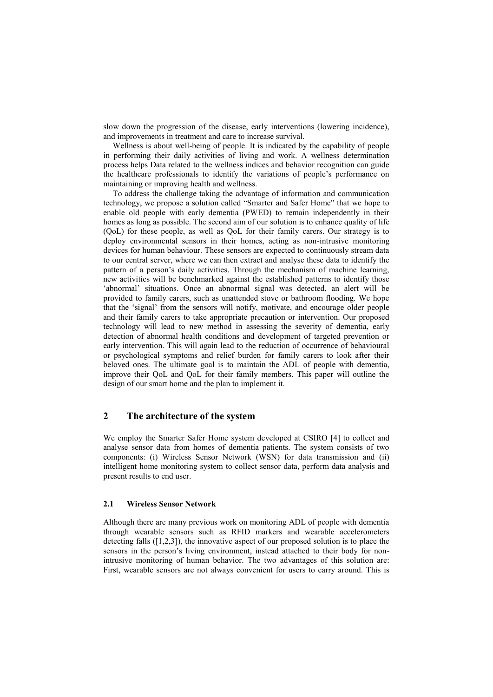slow down the progression of the disease, early interventions (lowering incidence), and improvements in treatment and care to increase survival.

Wellness is about well-being of people. It is indicated by the capability of people in performing their daily activities of living and work. A wellness determination process helps Data related to the wellness indices and behavior recognition can guide the healthcare professionals to identify the variations of people's performance on maintaining or improving health and wellness.

To address the challenge taking the advantage of information and communication technology, we propose a solution called "Smarter and Safer Home" that we hope to enable old people with early dementia (PWED) to remain independently in their homes as long as possible. The second aim of our solution is to enhance quality of life (QoL) for these people, as well as QoL for their family carers. Our strategy is to deploy environmental sensors in their homes, acting as non-intrusive monitoring devices for human behaviour. These sensors are expected to continuously stream data to our central server, where we can then extract and analyse these data to identify the pattern of a person's daily activities. Through the mechanism of machine learning, new activities will be benchmarked against the established patterns to identify those 'abnormal' situations. Once an abnormal signal was detected, an alert will be provided to family carers, such as unattended stove or bathroom flooding. We hope that the 'signal' from the sensors will notify, motivate, and encourage older people and their family carers to take appropriate precaution or intervention. Our proposed technology will lead to new method in assessing the severity of dementia, early detection of abnormal health conditions and development of targeted prevention or early intervention. This will again lead to the reduction of occurrence of behavioural or psychological symptoms and relief burden for family carers to look after their beloved ones. The ultimate goal is to maintain the ADL of people with dementia, improve their QoL and QoL for their family members. This paper will outline the design of our smart home and the plan to implement it.

# **2 The architecture of the system**

We employ the Smarter Safer Home system developed at CSIRO [4] to collect and analyse sensor data from homes of dementia patients. The system consists of two components: (i) Wireless Sensor Network (WSN) for data transmission and (ii) intelligent home monitoring system to collect sensor data, perform data analysis and present results to end user.

#### **2.1 Wireless Sensor Network**

Although there are many previous work on monitoring ADL of people with dementia through wearable sensors such as RFID markers and wearable accelerometers detecting falls  $(1,2,3]$ , the innovative aspect of our proposed solution is to place the sensors in the person's living environment, instead attached to their body for nonintrusive monitoring of human behavior. The two advantages of this solution are: First, wearable sensors are not always convenient for users to carry around. This is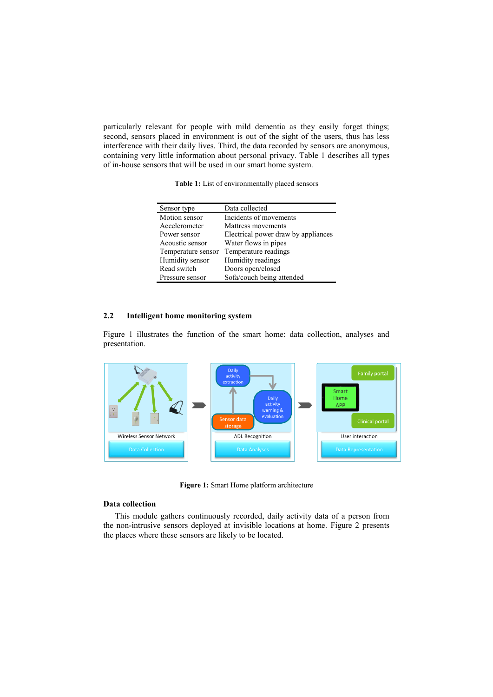particularly relevant for people with mild dementia as they easily forget things; second, sensors placed in environment is out of the sight of the users, thus has less interference with their daily lives. Third, the data recorded by sensors are anonymous, containing very little information about personal privacy. Table 1 describes all types of in-house sensors that will be used in our smart home system.

**Table 1:** List of environmentally placed sensors

| Sensor type        | Data collected                      |
|--------------------|-------------------------------------|
| Motion sensor      | Incidents of movements              |
| Accelerometer      | Mattress movements                  |
| Power sensor       | Electrical power draw by appliances |
| Acoustic sensor    | Water flows in pipes                |
| Temperature sensor | Temperature readings                |
| Humidity sensor    | Humidity readings                   |
| Read switch        | Doors open/closed                   |
| Pressure sensor    | Sofa/couch being attended           |

## **2.2 Intelligent home monitoring system**

Figure 1 illustrates the function of the smart home: data collection, analyses and presentation.



**Figure 1:** Smart Home platform architecture

## **Data collection**

This module gathers continuously recorded, daily activity data of a person from the non-intrusive sensors deployed at invisible locations at home. Figure 2 presents the places where these sensors are likely to be located.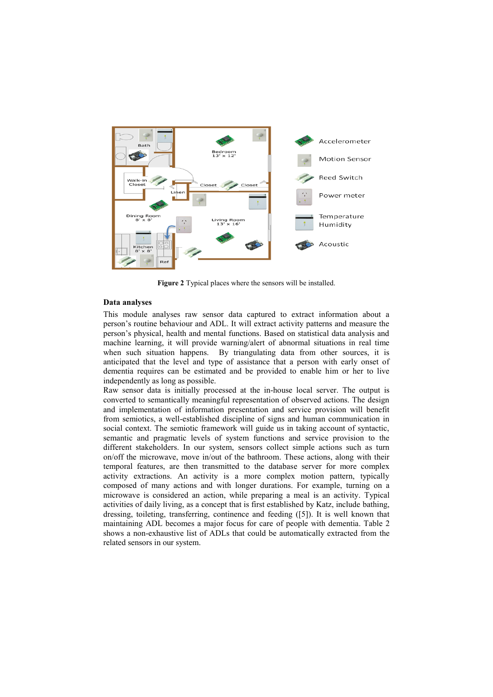

**Figure 2** Typical places where the sensors will be installed.

### **Data analyses**

This module analyses raw sensor data captured to extract information about a person's routine behaviour and ADL. It will extract activity patterns and measure the person's physical, health and mental functions. Based on statistical data analysis and machine learning, it will provide warning/alert of abnormal situations in real time when such situation happens. By triangulating data from other sources, it is anticipated that the level and type of assistance that a person with early onset of dementia requires can be estimated and be provided to enable him or her to live independently as long as possible.

Raw sensor data is initially processed at the in-house local server. The output is converted to semantically meaningful representation of observed actions. The design and implementation of information presentation and service provision will benefit from semiotics, a well-established discipline of signs and human communication in social context. The semiotic framework will guide us in taking account of syntactic, semantic and pragmatic levels of system functions and service provision to the different stakeholders. In our system, sensors collect simple actions such as turn on/off the microwave, move in/out of the bathroom. These actions, along with their temporal features, are then transmitted to the database server for more complex activity extractions. An activity is a more complex motion pattern, typically composed of many actions and with longer durations. For example, turning on a microwave is considered an action, while preparing a meal is an activity. Typical activities of daily living, as a concept that is first established by Katz, include bathing, dressing, toileting, transferring, continence and feeding ([5]). It is well known that maintaining ADL becomes a major focus for care of people with dementia. Table 2 shows a non-exhaustive list of ADLs that could be automatically extracted from the related sensors in our system.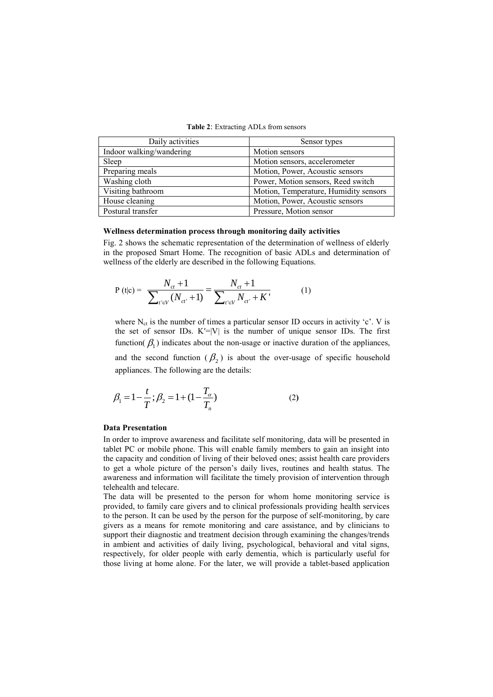**Table 2**: Extracting ADLs from sensors

| Daily activities         | Sensor types                          |
|--------------------------|---------------------------------------|
| Indoor walking/wandering | Motion sensors                        |
| Sleep                    | Motion sensors, accelerometer         |
| Preparing meals          | Motion, Power, Acoustic sensors       |
| Washing cloth            | Power, Motion sensors, Reed switch    |
| Visiting bathroom        | Motion, Temperature, Humidity sensors |
| House cleaning           | Motion, Power, Acoustic sensors       |
| Postural transfer        | Pressure, Motion sensor               |

#### **Wellness determination process through monitoring daily activities**

Fig. 2 shows the schematic representation of the determination of wellness of elderly in the proposed Smart Home. The recognition of basic ADLs and determination of wellness of the elderly are described in the following Equations.

$$
P (t|c) = \frac{N_{ct} + 1}{\sum_{t' \in V} (N_{ct'} + 1)} = \frac{N_{ct} + 1}{\sum_{t' \in V} N_{ct'} + K'} \tag{1}
$$

where  $N_{ct}$  is the number of times a particular sensor ID occurs in activity 'c'. V is the set of sensor IDs.  $K'=|V|$  is the number of unique sensor IDs. The first function( $\beta_1$ ) indicates about the non-usage or inactive duration of the appliances, and the second function  $(\beta_2)$  is about the over-usage of specific household appliances. The following are the details:

$$
\beta_1 = 1 - \frac{t}{T}; \beta_2 = 1 + (1 - \frac{T_\alpha}{T_n})
$$
\n(2)

#### **Data Presentation**

In order to improve awareness and facilitate self monitoring, data will be presented in tablet PC or mobile phone. This will enable family members to gain an insight into the capacity and condition of living of their beloved ones; assist health care providers to get a whole picture of the person's daily lives, routines and health status. The awareness and information will facilitate the timely provision of intervention through telehealth and telecare.

The data will be presented to the person for whom home monitoring service is provided, to family care givers and to clinical professionals providing health services to the person. It can be used by the person for the purpose of self-monitoring, by care givers as a means for remote monitoring and care assistance, and by clinicians to support their diagnostic and treatment decision through examining the changes/trends in ambient and activities of daily living, psychological, behavioral and vital signs, respectively, for older people with early dementia, which is particularly useful for those living at home alone. For the later, we will provide a tablet-based application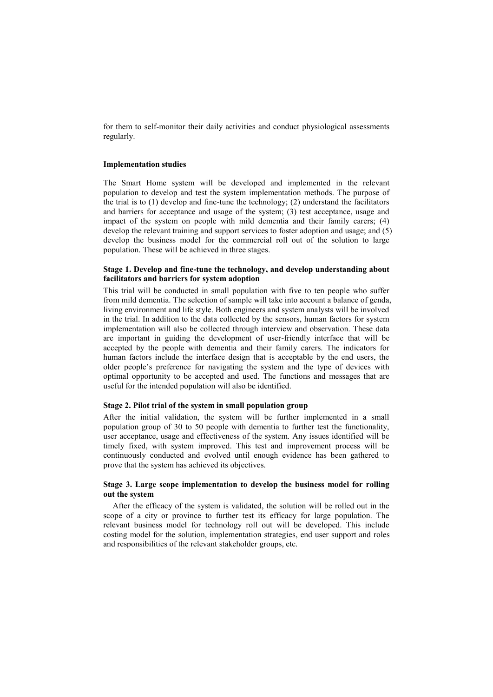for them to self-monitor their daily activities and conduct physiological assessments regularly.

#### **Implementation studies**

The Smart Home system will be developed and implemented in the relevant population to develop and test the system implementation methods. The purpose of the trial is to  $(1)$  develop and fine-tune the technology;  $(2)$  understand the facilitators and barriers for acceptance and usage of the system; (3) test acceptance, usage and impact of the system on people with mild dementia and their family carers; (4) develop the relevant training and support services to foster adoption and usage; and (5) develop the business model for the commercial roll out of the solution to large population. These will be achieved in three stages.

#### **Stage 1. Develop and fine-tune the technology, and develop understanding about facilitators and barriers for system adoption**

This trial will be conducted in small population with five to ten people who suffer from mild dementia. The selection of sample will take into account a balance of genda, living environment and life style. Both engineers and system analysts will be involved in the trial. In addition to the data collected by the sensors, human factors for system implementation will also be collected through interview and observation. These data are important in guiding the development of user-friendly interface that will be accepted by the people with dementia and their family carers. The indicators for human factors include the interface design that is acceptable by the end users, the older people's preference for navigating the system and the type of devices with optimal opportunity to be accepted and used. The functions and messages that are useful for the intended population will also be identified.

#### **Stage 2. Pilot trial of the system in small population group**

After the initial validation, the system will be further implemented in a small population group of 30 to 50 people with dementia to further test the functionality, user acceptance, usage and effectiveness of the system. Any issues identified will be timely fixed, with system improved. This test and improvement process will be continuously conducted and evolved until enough evidence has been gathered to prove that the system has achieved its objectives.

### **Stage 3. Large scope implementation to develop the business model for rolling out the system**

After the efficacy of the system is validated, the solution will be rolled out in the scope of a city or province to further test its efficacy for large population. The relevant business model for technology roll out will be developed. This include costing model for the solution, implementation strategies, end user support and roles and responsibilities of the relevant stakeholder groups, etc.